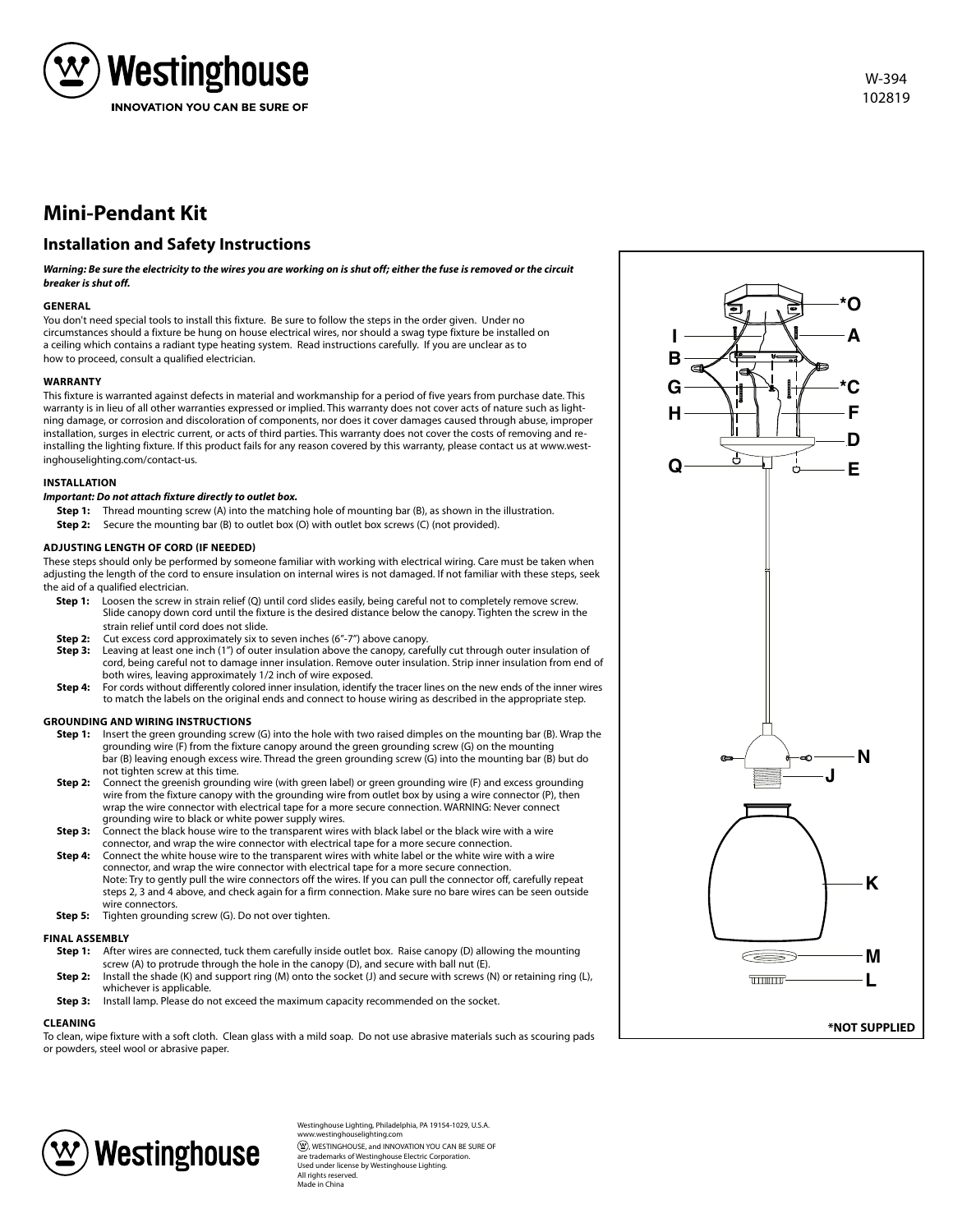

# **Mini-Pendant Kit**

## **Installation and Safety Instructions**

*Warning: Be sure the electricity to the wires you are working on is shut off; either the fuse is removed or the circuit breaker is shut off.*

### **GENERAL**

You don't need special tools to install this fixture. Be sure to follow the steps in the order given. Under no circumstances should a fixture be hung on house electrical wires, nor should a swag type fixture be installed on a ceiling which contains a radiant type heating system. Read instructions carefully. If you are unclear as to how to proceed, consult a qualified electrician.

### **WARRANTY**

This fixture is warranted against defects in material and workmanship for a period of five years from purchase date. This warranty is in lieu of all other warranties expressed or implied. This warranty does not cover acts of nature such as lightning damage, or corrosion and discoloration of components, nor does it cover damages caused through abuse, improper installation, surges in electric current, or acts of third parties. This warranty does not cover the costs of removing and reinstalling the lighting fixture. If this product fails for any reason covered by this warranty, please contact us at www.westinghouselighting.com/contact-us.

### **INSTALLATION**

### *Important: Do not attach fixture directly to outlet box.*

- **Step 1:** Thread mounting screw (A) into the matching hole of mounting bar (B), as shown in the illustration.
- **Step 2:** Secure the mounting bar (B) to outlet box (O) with outlet box screws (C) (not provided).

### **ADJUSTING LENGTH OF CORD (IF NEEDED)**

These steps should only be performed by someone familiar with working with electrical wiring. Care must be taken when adjusting the length of the cord to ensure insulation on internal wires is not damaged. If not familiar with these steps, seek the aid of a qualified electrician.

- **Step 1:** Loosen the screw in strain relief (Q) until cord slides easily, being careful not to completely remove screw. Slide canopy down cord until the fixture is the desired distance below the canopy. Tighten the screw in the strain relief until cord does not slide.<br>Step 2: Cut excess cord approximately six to
- Cut excess cord approximately six to seven inches (6"-7") above canopy.
- **Step 3:** Leaving at least one inch (1") of outer insulation above the canopy, carefully cut through outer insulation of cord, being careful not to damage inner insulation. Remove outer insulation. Strip inner insulation from end of both wires, leaving approximately 1/2 inch of wire exposed.
- **Step 4:** For cords without differently colored inner insulation, identify the tracer lines on the new ends of the inner wires to match the labels on the original ends and connect to house wiring as described in the appropriate step.

### **GROUNDING AND WIRING INSTRUCTIONS**

- **Step 1:** Insert the green grounding screw (G) into the hole with two raised dimples on the mounting bar (B). Wrap the grounding wire (F) from the fixture canopy around the green grounding screw (G) on the mounting bar (B) leaving enough excess wire. Thread the green grounding screw (G) into the mounting bar (B) but do not tighten screw at this time.
- **Step 2:** Connect the greenish grounding wire (with green label) or green grounding wire (F) and excess grounding wire from the fixture canopy with the grounding wire from outlet box by using a wire connector (P), then wrap the wire connector with electrical tape for a more secure connection. WARNING: Never connect grounding wire to black or white power supply wires.
- **Step 3:** Connect the black house wire to the transparent wires with black label or the black wire with a wire connector, and wrap the wire connector with electrical tape for a more secure connection.
- **Step 4:** Connect the white house wire to the transparent wires with white label or the white wire with a wire connector, and wrap the wire connector with electrical tape for a more secure connection. Note: Try to gently pull the wire connectors off the wires. If you can pull the connector off, carefully repeat steps 2, 3 and 4 above, and check again for a firm connection. Make sure no bare wires can be seen outside wire connectors.
- **Step 5:** Tighten grounding screw (G). Do not over tighten.

### **FINAL ASSEMBLY**

- **Step 1:** After wires are connected, tuck them carefully inside outlet box. Raise canopy (D) allowing the mounting screw (A) to protrude through the hole in the canopy (D), and secure with ball nut (E). **Step 2:** Install the shade (K) and support ring (M) onto the socket (J) and secure with screws (N) or retaining ring (L), whichever is applicable.<br>**Step 3:** Install lamp. Please do n
- **Step 3:** Install lamp. Please do not exceed the maximum capacity recommended on the socket.

### **CLEANING**

To clean, wipe fixture with a soft cloth. Clean glass with a mild soap. Do not use abrasive materials such as scouring pads or powders, steel wool or abrasive paper.



Westinghouse Lighting, Philadelphia, PA 19154-1029, U.S.A. www.westinghouselighting.com  $\left( \mathfrak{B}\right)$ , WESTINGHOUSE, and INNOVATION YOU CAN BE SURE OF are trademarks of Westinghouse Electric Corporation. Used under license by Westinghouse Lighting. All rights reserved. Made in China